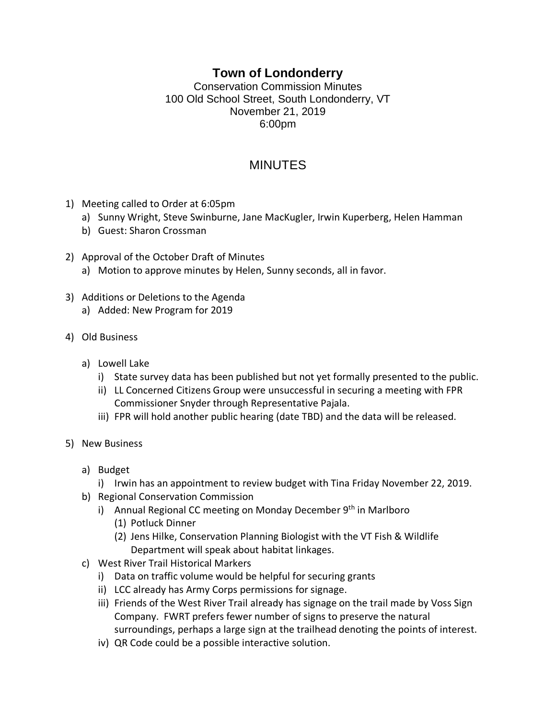## **Town of Londonderry**

Conservation Commission Minutes 100 Old School Street, South Londonderry, VT November 21, 2019 6:00pm

## MINUTES

- 1) Meeting called to Order at 6:05pm
	- a) Sunny Wright, Steve Swinburne, Jane MacKugler, Irwin Kuperberg, Helen Hamman
	- b) Guest: Sharon Crossman
- 2) Approval of the October Draft of Minutes
	- a) Motion to approve minutes by Helen, Sunny seconds, all in favor.
- 3) Additions or Deletions to the Agenda
	- a) Added: New Program for 2019
- 4) Old Business
	- a) Lowell Lake
		- i) State survey data has been published but not yet formally presented to the public.
		- ii) LL Concerned Citizens Group were unsuccessful in securing a meeting with FPR Commissioner Snyder through Representative Pajala.
		- iii) FPR will hold another public hearing (date TBD) and the data will be released.
- 5) New Business
	- a) Budget
		- i) Irwin has an appointment to review budget with Tina Friday November 22, 2019.
	- b) Regional Conservation Commission
		- i) Annual Regional CC meeting on Monday December 9<sup>th</sup> in Marlboro
			- (1) Potluck Dinner
			- (2) Jens Hilke, Conservation Planning Biologist with the VT Fish & Wildlife Department will speak about habitat linkages.
	- c) West River Trail Historical Markers
		- i) Data on traffic volume would be helpful for securing grants
		- ii) LCC already has Army Corps permissions for signage.
		- iii) Friends of the West River Trail already has signage on the trail made by Voss Sign Company. FWRT prefers fewer number of signs to preserve the natural surroundings, perhaps a large sign at the trailhead denoting the points of interest.
		- iv) QR Code could be a possible interactive solution.